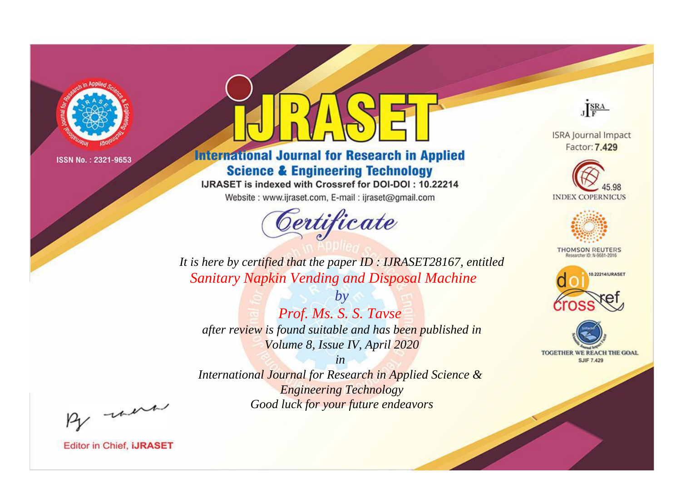

# **International Journal for Research in Applied Science & Engineering Technology**

IJRASET is indexed with Crossref for DOI-DOI: 10.22214

Website: www.ijraset.com, E-mail: ijraset@gmail.com



JERA

**ISRA Journal Impact** Factor: 7.429





**THOMSON REUTERS** 



TOGETHER WE REACH THE GOAL **SJIF 7.429** 

*It is here by certified that the paper ID : IJRASET28167, entitled Sanitary Napkin Vending and Disposal Machine*

*by Prof. Ms. S. S. Tavse after review is found suitable and has been published in Volume 8, Issue IV, April 2020*

*in* 

*International Journal for Research in Applied Science & Engineering Technology Good luck for your future endeavors*

By morn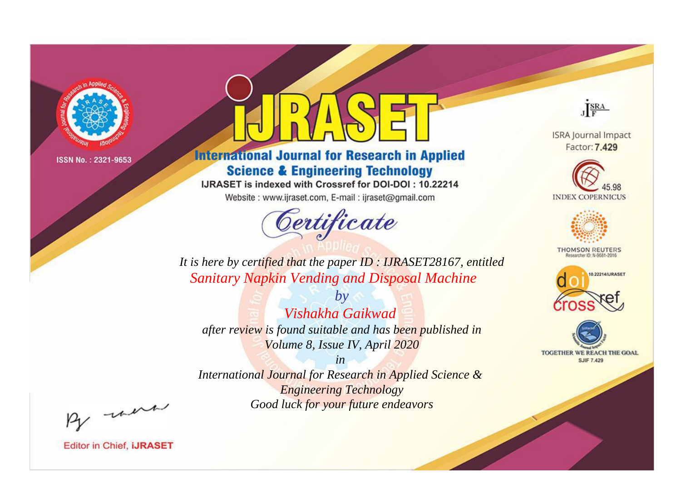

# **International Journal for Research in Applied Science & Engineering Technology**

IJRASET is indexed with Crossref for DOI-DOI: 10.22214

Website: www.ijraset.com, E-mail: ijraset@gmail.com



JERA

**ISRA Journal Impact** Factor: 7.429





**THOMSON REUTERS** 



TOGETHER WE REACH THE GOAL **SJIF 7.429** 

*It is here by certified that the paper ID : IJRASET28167, entitled Sanitary Napkin Vending and Disposal Machine*

*Vishakha Gaikwad after review is found suitable and has been published in Volume 8, Issue IV, April 2020*

*by*

*in* 

*International Journal for Research in Applied Science & Engineering Technology Good luck for your future endeavors*

By morn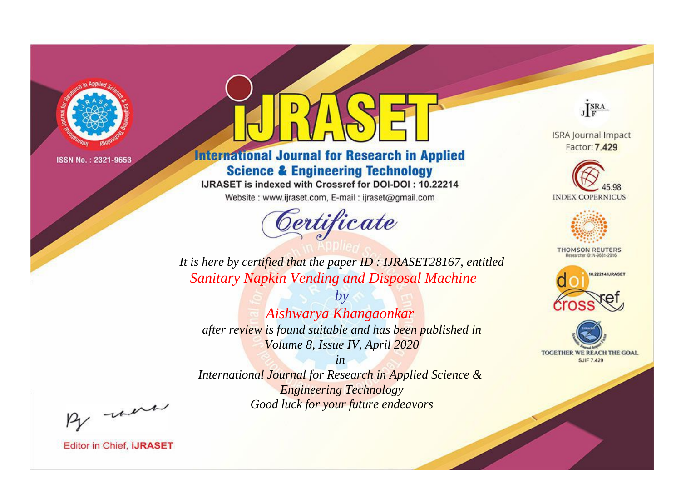

# **International Journal for Research in Applied Science & Engineering Technology**

IJRASET is indexed with Crossref for DOI-DOI: 10.22214

Website: www.ijraset.com, E-mail: ijraset@gmail.com



JERA

**ISRA Journal Impact** Factor: 7.429





**THOMSON REUTERS** 



TOGETHER WE REACH THE GOAL **SJIF 7.429** 

*It is here by certified that the paper ID : IJRASET28167, entitled Sanitary Napkin Vending and Disposal Machine*

*by Aishwarya Khangaonkar after review is found suitable and has been published in Volume 8, Issue IV, April 2020*

*in* 

*International Journal for Research in Applied Science & Engineering Technology Good luck for your future endeavors*

By morn